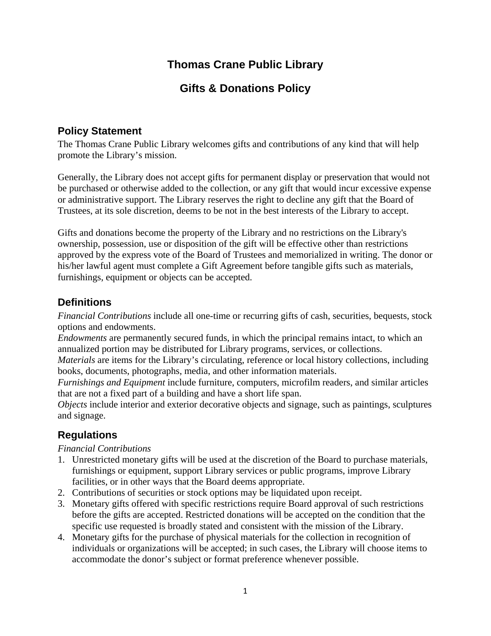# **Thomas Crane Public Library**

## **Gifts & Donations Policy**

### **Policy Statement**

The Thomas Crane Public Library welcomes gifts and contributions of any kind that will help promote the Library's mission.

Generally, the Library does not accept gifts for permanent display or preservation that would not be purchased or otherwise added to the collection, or any gift that would incur excessive expense or administrative support. The Library reserves the right to decline any gift that the Board of Trustees, at its sole discretion, deems to be not in the best interests of the Library to accept.

Gifts and donations become the property of the Library and no restrictions on the Library's ownership, possession, use or disposition of the gift will be effective other than restrictions approved by the express vote of the Board of Trustees and memorialized in writing. The donor or his/her lawful agent must complete a Gift Agreement before tangible gifts such as materials, furnishings, equipment or objects can be accepted.

### **Definitions**

*Financial Contributions* include all one-time or recurring gifts of cash, securities, bequests, stock options and endowments.

*Endowments* are permanently secured funds, in which the principal remains intact, to which an annualized portion may be distributed for Library programs, services, or collections.

*Materials* are items for the Library's circulating, reference or local history collections, including books, documents, photographs, media, and other information materials.

*Furnishings and Equipment* include furniture, computers, microfilm readers, and similar articles that are not a fixed part of a building and have a short life span.

*Objects* include interior and exterior decorative objects and signage, such as paintings, sculptures and signage.

## **Regulations**

*Financial Contributions* 

- 1. Unrestricted monetary gifts will be used at the discretion of the Board to purchase materials, furnishings or equipment, support Library services or public programs, improve Library facilities, or in other ways that the Board deems appropriate.
- 2. Contributions of securities or stock options may be liquidated upon receipt.
- 3. Monetary gifts offered with specific restrictions require Board approval of such restrictions before the gifts are accepted. Restricted donations will be accepted on the condition that the specific use requested is broadly stated and consistent with the mission of the Library.
- 4. Monetary gifts for the purchase of physical materials for the collection in recognition of individuals or organizations will be accepted; in such cases, the Library will choose items to accommodate the donor's subject or format preference whenever possible.